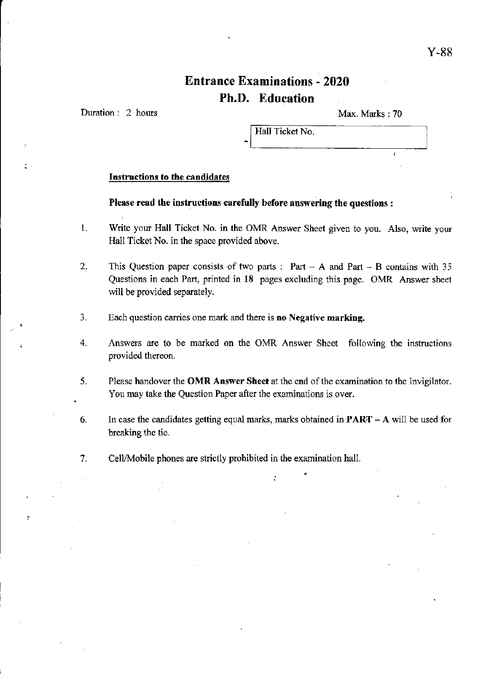# Entrance Examinations - 2020 Ph.D. Education

Duration: 2 hours

Max. Marks: 70

Hall Ticket No.

# Instructions to the candidates

## Please read the instructions carefully before answering the questions:

- 1. Write your Hall Ticket No. in the OMR Answer Sheet given to you. Also, write your Hall Ticket No. in the space provided above.
- 2. This Question paper consists of two parts: Part  $A$  and Part  $B$  contains with 35 Questions in each Part, printed in 18 pages excluding this page. OMR Answer sheet will be provided separately.
- 3. Each question carries one mark and there is no Negative marking.
- 4. Answers are to be marked on the OMR Answer Sheet following the instructions provided thereon.
- 5. Please handover the OMR Answer Sheet at the end of the examination to the Invigilator. You may take the Question Paper after the examinations is over.
- 6. In case the candidates getting equal marks, marks obtained in  $\text{PART} \text{A}$  will be used for breaking the tie.

•

7. CelllMobile phones are strictly prohibited in the examination hall.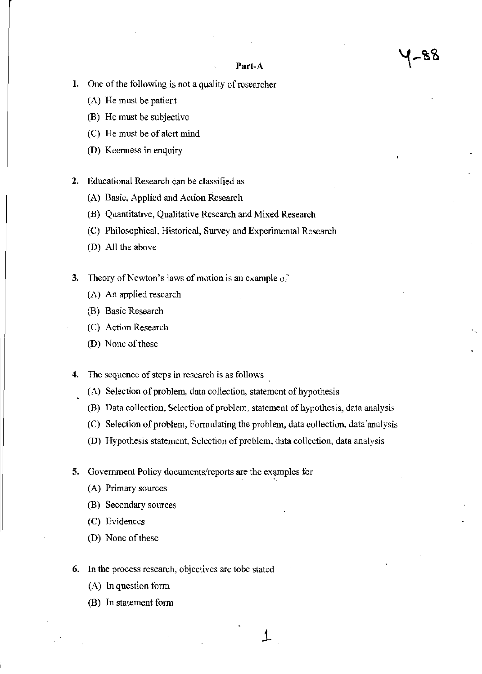- ত ত

#### Part-A

- 1. One of the following is not a quality of researcher
	- (A) He must be patient
	- (8) He must be subjective
	- (C) He must be of alcrt mind
	- (D) Keenness in enquiry
- 2. Educational Research can be classified as
	- (A) Basic, Applied and Action Research
	- (B) Quantitative, Qualitative Research and Mixed Research
	- (C) Philosophical, Historical, Survey and Experimental Research
	- (D) All the above
- 3. Theory of Newton's laws of motion is an example of
	- (A) An applied research
	- (B) Basic Research
	- (C) Action Research
	- (D) None of these
- 4. The sequence of steps in research is as follows
	- (A) Selection of problem, data collection, statement of hypothesis
	- (8) Data collection, Selection of problem, statement of hypothesis, data analysis
	- (C) Selection of problem, Formulating the problem, data collection, data 'analysis

↥

- (D) Hypothesis statement, Selection of problem, data collection, data analysis
- 5. Government Policy documents/reports are the examples for
	- (A) Primary sources
	- (B) Secondary sources
	- (C) Evidences
	- (D) None of these
- 6. In the process research, objectives are tobe stated
	- (A) In question form
	- (B) In statement form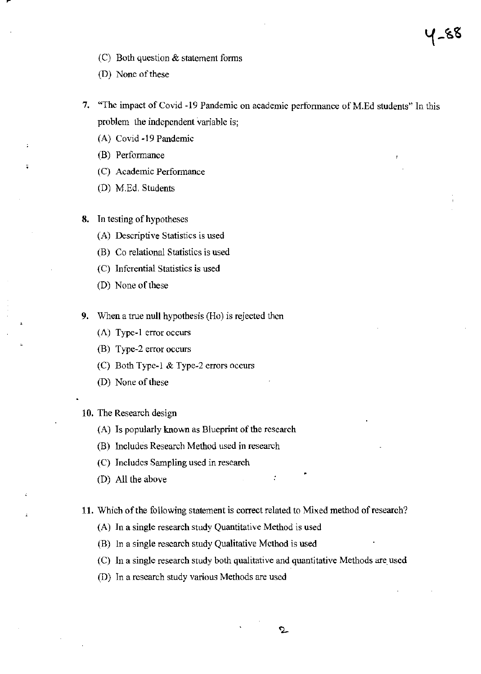- (C) Both question  $\&$  statement forms
- (D) None of these
- 7. "The impact of Covid -19 Pandemic on academic perfonnancc of M.Ed students" In this problem the independent variable is;

५-४४

- (A) Covid -19 Pandemic
- (B) Performance
- (C) Academic Performance
- (D) M.Ed. Students
- 8. Tn testing of hypotheses
	- (A) Descriptive Statistics is used
	- (B) Co relational Statistics is used
	- (C) Inferential Statistics is used
	- (D) None of these
- 9. When a true null hypothesis (Ho) is rejected thcn
	- (A) Type-1 error occurs
	- (B) Type-2 error occurs
	- (C) Both Typc-l & Type-2 errors occurs
	- (D) None of these
- 10. The Research design
	- (A) Is popularly known as Blueprint of the research
	- (B) Includes Research Method used in research
	- (C) Includes Sampling used in research
	- (D) All the above
- 11. Which of the following statement is correct related to Mixed method of research?
	- (A) In a single research study Quantitative Method is used
	- (B) In a single research study Qualitative Method is used
	- (C) In a single research study both qualitative and quantitative Methods are, used
	- (D) In a research study various Methods are used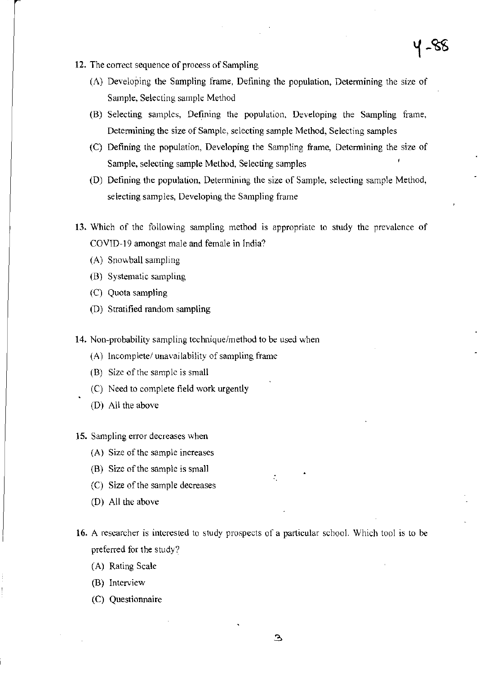- 12. The correct sequence of process of Sampling
	- (A) Developing the Sampling frame, Defining the population, Determining the size of Sample, Selecting sample Method
	- (B) Selecting samples, Defining the population, Developing the Sampling frame, Determining the size of Sample, selecting sample Method, Selecting samples
	- (C) Defining the population, Developing the Sampling frame, Determining the size of Sample, selecting sample Method, Selecting samples
	- (D) Defining the population, Detennining the size of Sample, selecting sample Method, selecting samples, Developing the Sampling frame
- 13. Which of the following sampling method is appropriatc to study the prevalence of COVID-J9 amongst male and female in India?
	- (A) Snowball sampling
	- (B) Systematic sampling
	- (C) Quota sampling
	- (D) Stratified random sampling
- 14. Non-probability sampling technique/method to be used when
	- $(A)$  Incomplete/ unavailability of sampling frame
	- (B) Size of the sample is small
	- (C) Need to complete field work urgently
	- (D) All the above
- 15. Sampling error decreases when
	- (A) Size of the sample increases
	- (B) Size of the sample is small
	- (C) Size of the sample decreases
	- (D) All the above
- 16. A researcher is interested to study prospects of a particular school. Which tool is to be preferred for the study?
	- (A) Rating Scale
	- (B) Interview
	- (C) Questionnaire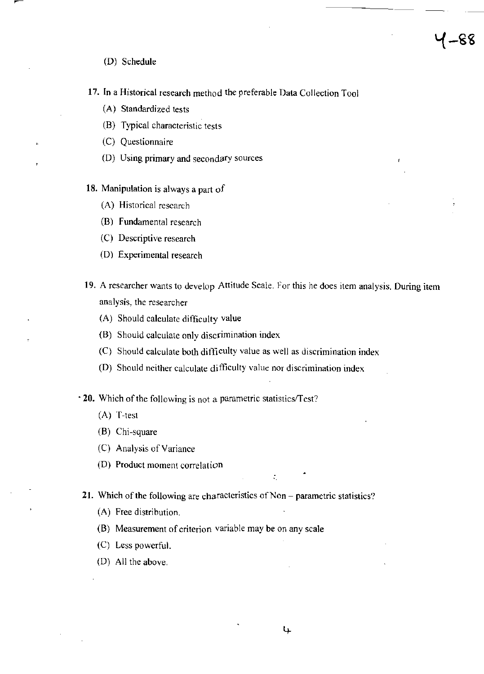**17. In** a Historical research method the preferable Data Collection Tool

1–88

- (A) Standardized tests
- (8) Typical characteristic tests
- (C) Questionnaire
- (D) Using primary and secondary sources
- **18.** Manipulation is always a part of
	- (A) Historical research
	- (B) Fundamental research
	- (C) Descriptive research
	- (D) Experimental research
- **19.** A researcher wants to develop Attitude Scale. For this he does item analysis. During item analysis, the researcher
	- (A) Should calculate difficulty value
	- (B) Should calculate only discrimination index
	- (C) Should calculate both difficulty value as well as discrimination index
	- (D) Should neither calculate difficulty value nor discrimination index

**20.** Which of the following is not a parametric statistics/Test?

- (A) T-test
- (B) Chi-square
- (C) Analysis of Variance
- (D) Product moment correlation
- **21.** Which of the following are characteristics of Non parametric statistics?
	- (A) Free distribution.
	- (B) Measurement of criterion variable may be on any scale
	- (C) Less powerful.
	- (D) All the above.

ŧ.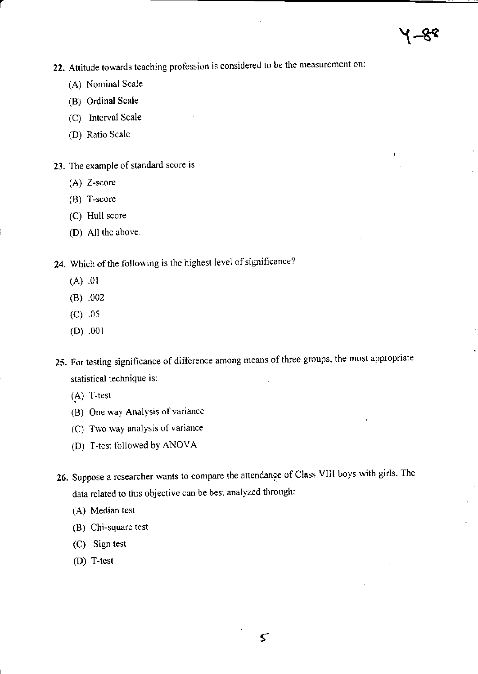j

- **22. Attitude towards teaching profession is considered to be the measurement on:** 
	- (A) Nominal Scale
	- (8) Ordinal Scale
	- (C) Interval Scale
	- (D) Ratio Scale
- **23. The example of standard score is** 
	- (A) Z-seore
	- (8) T-score
	- (C) Hull score
	- (D) All the above.
- **24. Which** of the **following is the highest level** of significance?
	- (A) .01
	- (8) .002
	- (C) .05
	- (D) .001
- **25. For testing significance of difference among means of three groups, the most appropriate statistical technique is:** 
	- $(A)$  T-test
	- **(B) One way Analysis of variance**
	- **(C) Two way analysis of variance**
	- (D) T-test followed by ANOVA
- 26. Suppose a researcher wants to compare the attendance of Class VIII boys with girls. The **data related to this objective can be best analyzed through:** 
	- (A) Median test
	- **(B) Chi-square test**
	- (C) Sign test
	- (D) T-test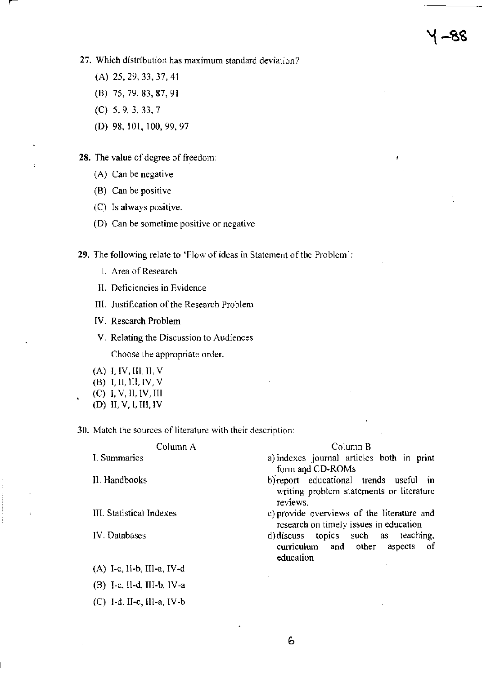- (A) 25,29,33,37,41
- (B) 75,79,83,87,91
- (C) 5,9,3,33,7
- (D) 98,101,100,99,97

## **28. The value** of degree of freedom:

- **(A) Can be negative**
- (B) Can be positive
- **(C) Is always positive.**
- **(D) Can be sometime positive or negative**

**29. The following relate to 'Flow of ideas in Statement** of the **Problem** ';

- **I. Area of Research**
- **II. Deficiencies in Evidence**
- **III. Justification** of the **Research Problem**
- **IV. Research Problem**
- V. **Relating the Discussion to Audiences**

**Choose the appropriate order.** 

- (A) I, IV, 111, II, V
- (B) 1,11, 1II, IV, V
- (C) J, V, 11, IV, III
- (D) 11, V, l, III, IV

(C) I-d, I1-c, lII-a, IV-b

**30. Match the sources of literature with their description:** 

| Column A                        | Column B                                                                                       |  |  |
|---------------------------------|------------------------------------------------------------------------------------------------|--|--|
| I. Summaries                    | a) indexes journal articles both in print<br>form and CD-ROMs                                  |  |  |
| II. Handbooks                   | b) report educational trends useful in<br>writing problem statements or literature<br>reviews. |  |  |
| <b>III.</b> Statistical Indexes | c) provide overviews of the literature and<br>research on timely issues in education           |  |  |
| IV. Databases                   | d) discuss topics such as teaching,<br>curriculum and other<br>aspects of<br>education         |  |  |
| $(A)$ I-c, II-b, III-a, IV-d    |                                                                                                |  |  |
| $(B)$ I-c, II-d, III-b, IV-a    |                                                                                                |  |  |

6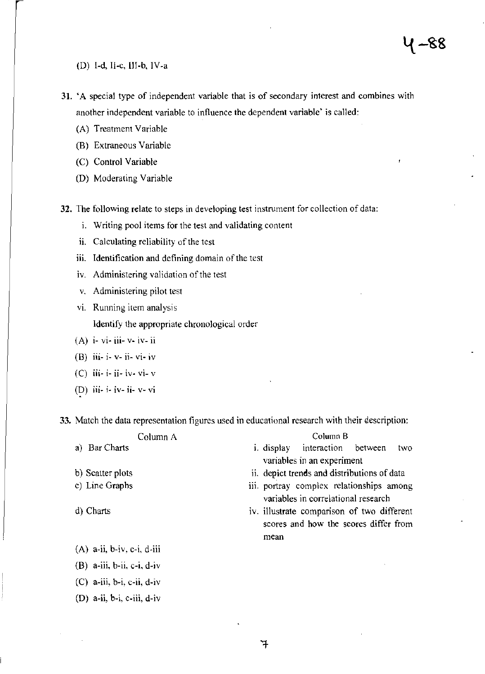ł

# (D) I-d, !I-c, Ill-b, IV-a

- 31. 'A special type of independent variable that is of secondary interest and combines with another independent variable to influence the dependent variable' is called:
	- (A) Treatment Variable
	- (B) Extraneous Variable
	- (C) Control Variable
	- (D) Moderating Variable

32. The following relate to steps in developing test instrument for collection of data:

- i. Writing pool items for the test and validating content
- ii. Calculating reliability of the test
- iii. Identification and defining domain of the test
- iv. Administering validation of the test
- v. Administering pilot test
- vi. Running item analysis

Identify the appropriate chronological order

- $(A)$  i- vi- iii- v- iv- ii
- (B) iii- i- v- ii- vi- iv
- (C)  $\overline{ii}$  ii  $\overline{ii}$  ivesting the  $\overline{v}$
- (D)  $\overrightarrow{ii}$  i- iv- ii- v- vi

33. Match the data representation figures used in educational research with their description:

| Column A                     |  |  | Column <sub>B</sub>                                                             |                                                                                     |  |     |
|------------------------------|--|--|---------------------------------------------------------------------------------|-------------------------------------------------------------------------------------|--|-----|
| a) Bar Charts                |  |  |                                                                                 | <i>i</i> . display interaction between                                              |  | two |
|                              |  |  |                                                                                 | variables in an experiment                                                          |  |     |
| b) Scatter plots             |  |  | ii. depict trends and distributions of data                                     |                                                                                     |  |     |
| c) Line Graphs               |  |  | iii. portray complex relationships among<br>variables in correlational research |                                                                                     |  |     |
| d) Charts                    |  |  |                                                                                 | iv. illustrate comparison of two different<br>scores and how the scores differ from |  |     |
|                              |  |  | mean                                                                            |                                                                                     |  |     |
| $(A)$ a-ii, b-iv, c-i, d-iii |  |  |                                                                                 |                                                                                     |  |     |
| $(B)$ a-iii, b-ii, c-i, d-iv |  |  |                                                                                 |                                                                                     |  |     |
| $(C)$ a-iii, b-i, c-ii, d-iv |  |  |                                                                                 |                                                                                     |  |     |

(D) a-ii, b-i, c-iii, d-iv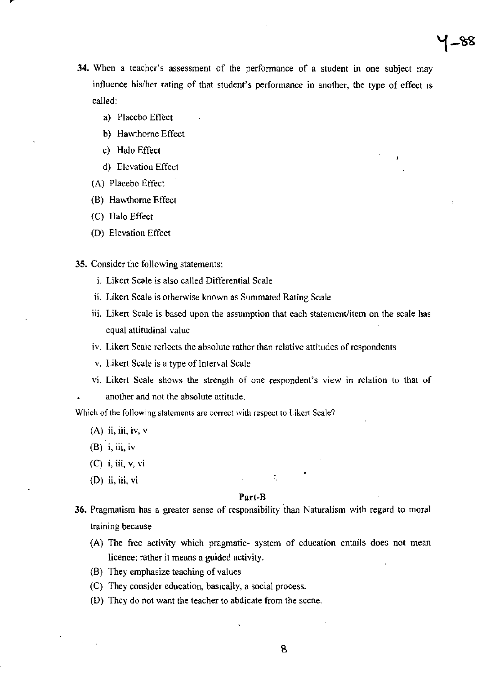34. When a teacher's assessment of the performance of a student in one subject may influence hislher rating of that student's performance in another, the type of effect is called:

 $\sim$ 

- a) Placebo Effect
- b) Hawthorne Effect
- c) Halo Effect
- d) Elevation Effect
- (A) Placebo Effect
- (B) Hawthorne Effect
- (C) Halo Effect
- (D) Elevation Effect
- 35. Consider the following statements:
	- i. Likert Scale is also called Differential Scale
	- ii. Likert Scale is otherwise known as Summated Rating Scale
	- iii. Likert Scale is based upon the assumption that each statement/item on the scale has equal attitudinal value
	- iv. Likert Scale reflects the absolute rather than relative attitudes of respondents
	- v. Likert Scale is a type of Interval Scale
	- vi. Likert Scale shows the strength of one respondent's view in relation to that of another and not the absolute attitude.

Which of the following statements are correct with respect to Likert Scale?

- $(A)$  ii, iii, iv, v
- $(B)$  i, iii, iv
- (C) i, iii, V, vi
- $(D)$  ii, iii, vi

#### Part-B

÷,

- 36. Pragmatism has a greater sense of responsibility than Naturalism with regard to moral training because
	- (A) The free activity which pragmatic- system of education entails does not mean licence; rather it means a guided activity.
	- (8) They emphasize teaching of values
	- (C) They consider education, basically, a social process.
	- (D) They do not want the teacher to abdicate from the scene.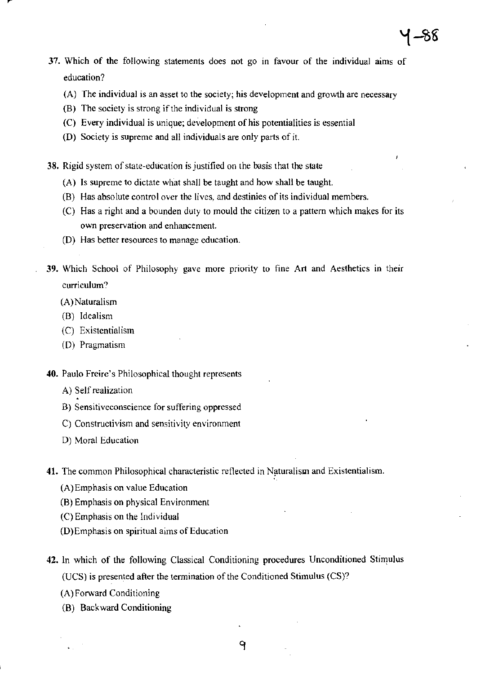- 37. Which of the following statements does not go in favour of the individual aims of education?
	- (A) The individual is an asset to the society; his development and growth are necessary
	- (B) The society is strong if the individual is strong
	- (C) Every individual is unique; development of his potentialities is essential
	- (D) Society is supreme and all individuals are only parts of it.

38. Rigid system of state-education is justified on the basis that the state

- (A) Is supreme to dictate what shall be taught and how shall be taught.
- (B) Has absolute control over the lives, and destinies of its individual members.
- (C) Has a right and a bounden duty to mould the citizen to a pattern which makes for its own preservation and enhancement.
- (D) Has better resources to manage education.
- 39. Which School of Philosophy gave more priority to fine Art and Aesthetics in their curriculum?
	- (A)Naturalism
	- (B) Idealism
	- (C) Existentialism
	- (D) Pragmatism
- 40. Paulo Freire's Philosophical thought represents
	- A) Self realization
	- B) Sensitiveconscience for suffering oppressed
	- C) Constructivism and sensitivity environment
	- D) Moral Education
- 41. The common Philosophical characteristic reflected in Naturalism and Existentialism.
	- (A) Emphasis on value Education
	- (8) Emphasis on physical Environment
	- (C) Emphasis on the Individual
	- (D) Emphasis on spiritual aims of Education
- 42. In which of the following Classical Conditioning procedures Unconditioned Stimulus (UCS) is presented after the termination of the Conditioned Stimulus (CS)?

٩

- (A) Forward Conditioning
- (B) Backward Conditioning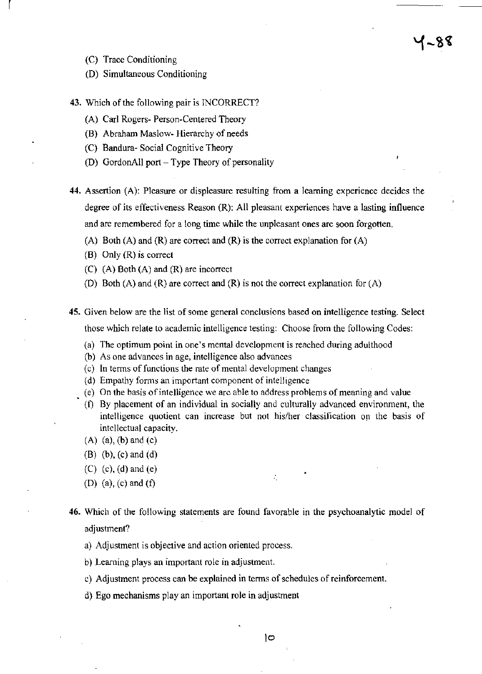(C) Trace Conditioning

l,

- (D) Simultaneous Conditioning
- 43. Which of the following pair is INCORRECT?
	- (A) Carl Rogers- Person-Centered Theory
	- (8) Abraham Maslow- Hierarchy of needs
	- (C) Bandura- Social Cognitive Theory
	- (D) GordonAll port Type Theory of personality
- 44. Assertion (A): Pleasure or displeasure resulting from a learning experience decides the degree of its effectiveness Reason (R): All pleasant experiences have a lasting influence and are remembered for a long time while the unpleasant ones are soon forgotten.

7-88

- (A) Both (A) and (R) are correct and (R) is the correct explanation for  $(A)$
- (B) Only (R) is correct
- (C) (A) Both (A) and (R) are incorrect
- (D) Both (A) and (R) are correct and (R) is not the correct explanation for  $(A)$
- 45. Given below are the list of some general conclusions based on intelligence testing. Select those which relate to academic intelligence testing: Choose from the following Codes:
	- (a) The optimum point in one's mental development is reached during adulthood
	- (b) As one advances in age, intelligence also advances
	- (c) In tenns of functions the rate of mental development changes
	- (d) Empathy forms an important component of intelligence
	- (e) On the basis of intelligence we arc able to address problems of meaning and value
	- (f) By placement of an individual in socially and culturally advanced environment, the intelligence quotient can increase but not his/her classification op the basis of intellectual capacity.
	- $(A)$   $(a)$ ,  $(b)$  and  $(c)$
	- (B) (b), (e) and (d)
	- (C) (c), (d) and (e)
	- (D) (a), (c) and (f)
- 46. Which of the following statements are found favorable in the psychoanalytic model of adjustment?
	- a) Adjustment is objective and action oriented process.
	- b) Learning plays an important role in adjustment.
	- c) Adjustment process can be explained in tenns of schedules of reinforcement.
	- d) Ego mechanisms play an important role in adjustment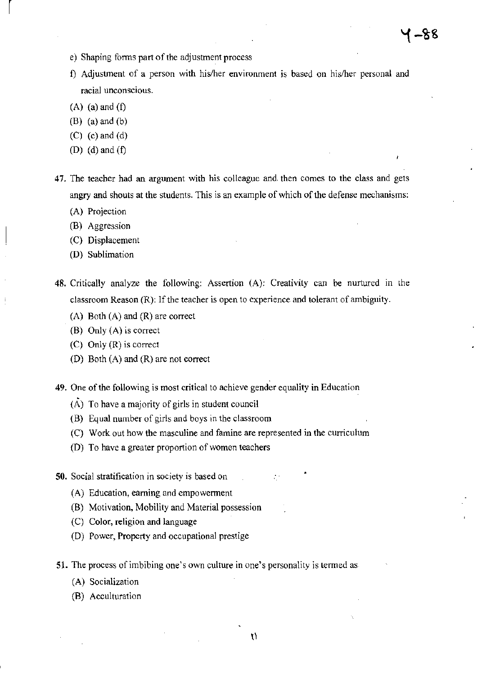- e) Shaping fonns part of the adjustment process
- f) Adjustment of a person with his/her environment is based on hislher personal and racial unconscious.
- $(A)$  (a) and  $(f)$

 $\vert$ 

- (B) (a) and (b)
- $(C)$  (c) and (d)
- (D) (d) and  $(f)$
- 47. The teacher had an argument with his colleague and, then Comes to the class and gets angry and shouts at the students. This is an example of which of the defense mechanisms:
	- (A) Projection
	- (B) Aggression
	- (C) Displacement
	- (D) Sublimation
- 48. Critically analyze the following: Assertion (A): Creativity can be nurtured in the classroom Reason (R): If the teacher is open to experience and tolerant of ambiguity.
	- (A) Both (A) and (R) are correct
	- (B) Only (A) is correct
	- (C) Only (R) is correct
	- (D) Both (A) and (R) are not correct
- 49. One of the following is most critical to achieve gender equality in Education
	- $(A)$  To have a majority of girls in student council
	- (B) Equal number of girls and boys in the classroom
	- (C) Work out how the masculine and famine are represented in the curriculum
	- (D) To have a greater proportion of women teachers
- 50. Social stratification in society is based on
	- (A) Education, earning and empowennent
	- (B) Motivation, Mobility and Material possession
	- (C) Color, religion and language
	- (D) Power, Property and occupational prestige
- 51. The process of imbibing one's own culture in one's personality is tenned as-
	- (A) Socialization
	- (B) Acculturation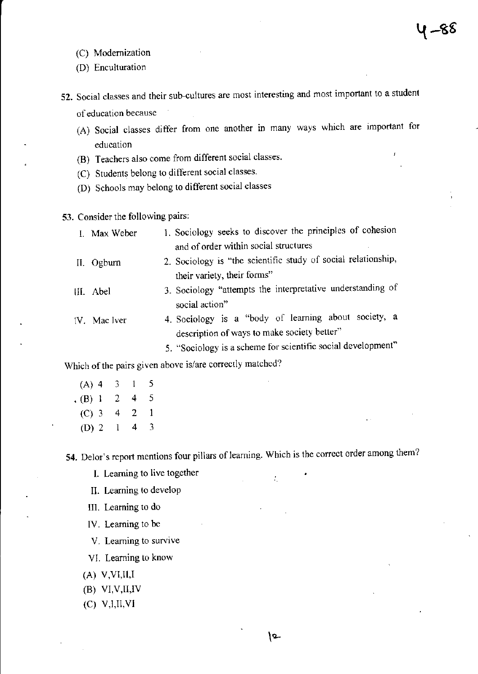- (C) Modernization
- (D) Enculturation
- **52.** Social classes and their sub-cultures are most interesting and most important to a student of education because
	- (A) Social classes differ from one another in many ways which are important for education
	- (B) Teachers also come from different social classes.
	- (C) Students belong to different social classes.
	- (D) Schools may belong to different social classes
- **53.** Consider the following pairs:

| I. Max Weber | 1. Sociology seeks to discover the principles of cohesion     |
|--------------|---------------------------------------------------------------|
|              | and of order within social structures                         |
| II. Ogburn   | 2. Sociology is "the scientific study of social relationship, |
|              | their variety, their forms"                                   |
| III. Abel    | 3. Sociology "attempts the interpretative understanding of    |
|              | social action"                                                |
| (V. Mac lver | 4. Sociology is a "body of learning about society, a          |
|              | description of ways to make society better"                   |
|              | 5. "Sociology is a scheme for scientific social development"  |

Which of the pairs given above is/are correctly matched?

(A) 4 3 I 5  $\cdot$  (B) 1 2 4 5  $(C) 3 4 2$  $\mathbf{1}$ (D) 2 I 4 3

**54.** Delor's report mentions four pillars of learning. Which is the correct order among them?

÷.

- L Learning to live together
- II. Learning to develop
- III. Learning to do
- IV. Learning to be
- V. Leaming to survive
- VI. Learning to know
- $(A)$  V, VI, II, I
- (B) VI.V,U,IV
- (C) V,I,U,VI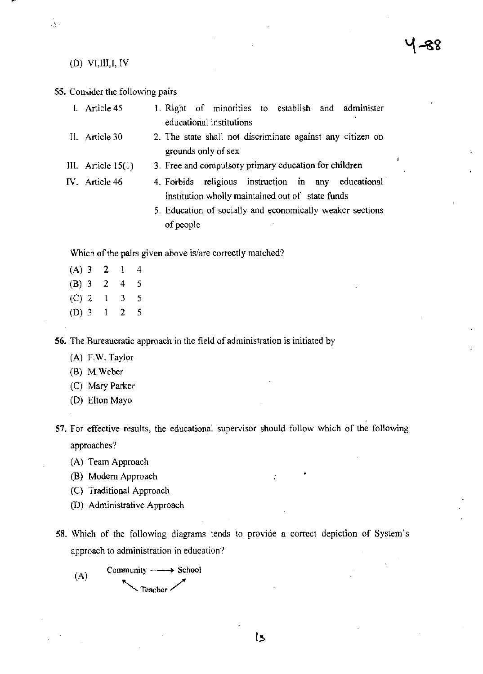# (D) VI,Ill,I, IV

 $\hat{\omega}$  .

# 55. Consider the following pairs

| I. Article 45        | 1. Right of minorities to establish and administer<br>educational institutions                          |
|----------------------|---------------------------------------------------------------------------------------------------------|
| II. Article 30       | 2. The state shall not discriminate against any citizen on<br>grounds only of sex                       |
| III. Article $15(1)$ | 3. Free and compulsory primary education for children                                                   |
| IV. Article 46       | 4. Forbids religious instruction in any educational<br>institution wholly maintained out of state funds |
|                      | 5. Education of socially and economically weaker sections<br>of people                                  |
|                      |                                                                                                         |

Which of the pairs given above is/are correctly matched?

| $(A)$ 3 | 2 | 1 | 4 |
|---------|---|---|---|
| $(B)$ 3 | 2 | 4 | 5 |
| $(C)$ 2 | ı | 3 | 5 |
| $(D)$ 3 | 1 | 2 | 5 |

56. The Bureaucratic approach in the field of administration is initiated by

(A) F.W. Taylor

(B) M.Weber

(C) Mary Parker

(D) Elton Mayo

57. For effective results, the educational supervisor should follow which of the following approaches?

(A) Team Approach

(B) Modem Approach

- (C) Traditional Approach
- (D) Administrative Approach
- 58. Which of the following diagrams tends to provide a correct depiction of System's approach to administration in education?

(A) Community  $\longrightarrow$  School - Teacher

÷.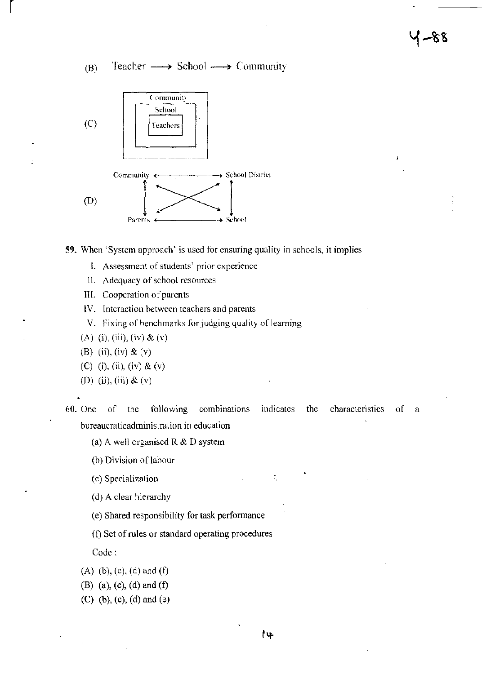(B) Teacher  $\longrightarrow$  School  $\longrightarrow$  Community



59. When 'System approach' is used for ensuring quality in schools, it implies

- L Assessment of students' prior experience
- II. Adequacy of school resources
- III. Cooperation of parents
- IV. Interaction between teachers and parents
- V. Fixing of benchmarks for judging quality of learning
- (A) (i), (iii), (iv)  $\&$  (v)
- (B) (ii), (iv) & (v)

r

- (C) (i), (ii), (iv) & (v)
- (D) (ii), (iii) & (v)
- 60. One of the following combinations indicates the characteristics of a bureaucraticadministration in education
	- (a) A well organised R  $&$  D system
	- (b) Division of labour
	- (c) Specialization
	- (d) A clear hierarchy
	- (e) Shared responsibility for task performance
	- (I) Set of rules or standard operating procedures

Code:

- (A) (b), (c), (d) and (f)
- (B) (a), (e), (d) and (f)
- (C) (b), (c), (d) and (e)

÷,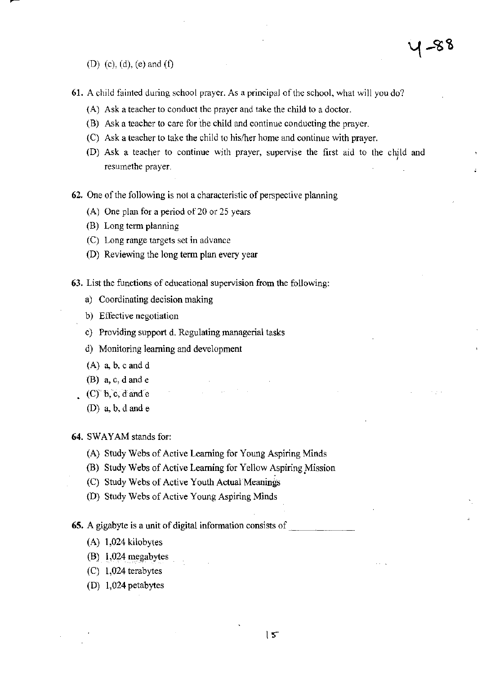(D) (c), (d), (e) and (f)

- **61. A child fainted during school prayer. As a principal** of the **school, what will you do?** 
	- **Ask a tcacher to conduct the prayer and take the child to a doctor.**  (A)
	- **Ask a teacher to care for the child and continue conducting the prayer.**  (B)
	- **Ask a teacher to take the child to hislher home and continue with prayer.**  (C)
	- (D) **Ask a teacher to continue with prayer, supervise the first aid to the child and** , **resumethe prayer.**
- **62. One** of the **following is not a characteristic** of perspective **planning** 
	- **(A) One plan for a period af20 or 25 years**
	- (B) Long term planning
	- **(C) Long range targets set in advance**
	- (D) Reviewing the long term plan every year
- **63. List the functions of educational supervision from the following:** 
	- **a) Coordinating decision making**
	- **b) Effective negotiation**
	- **c) Providing support d. Regulating managerial tasks**
	- **d) Monitoring learning and development**
	- $(A)$  a, b, c and d
	- (B) a, c, d and e
	- $(C)$  b, c, d and e
		- (D)  $a, b, d$  and  $e$

64. SWAYAM stands for:

- (A) Study Webs of Active Learning for Young Aspiring Minds
- **(B) Study Webs of Active Learning for Yellow Aspiring.Mission**
- (C) Study Webs of Active Youth Actual Meanings
- (D) Study Webs of Active Young Aspiring Minds

**65. A gigabyte is a unit of digital information consists of** \_\_\_\_\_ \_

- (A) 1,024 kilobytes
- (B) 1,024 megabytes
- (C) 1,024 terabytes
- (D) 1,024 petabytes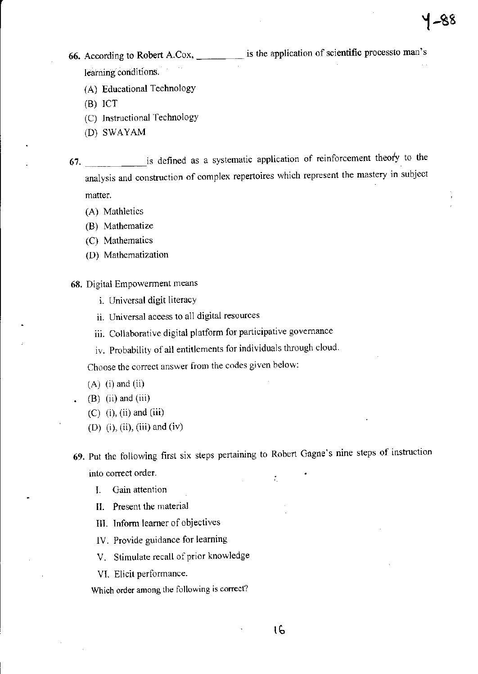**66.** According to Robert A.Cox, \_\_\_\_\_ is the application of scientific processto man's learning conditions.

- (A) Educational Technology
- $(B)$  ICT
- (C) Instructional Technology
- (D) SWAYAM

67. \_\_\_\_\_\_ is defined as a systematic application of reinforcement theory to the analysis and construction of complex repertoires which represent the mastery in subject matter.

- (A) Mathletics
- (8) Mathematize
- (C) Mathematics
- (D) Mathematization

68. Digital Empowerment means

- i. Universal digit literacy
- ii. Universal access to all digital resources
- iii. Collaborative digital platform for participative governance
- iv. Probability of all entitlements for individuals through cloud.

Choose the correct answer from the codes given below:

- $(A)$  (i) and (ii)
- $(B)$  (ii) and (iii)
- $(C)$  (i), (ii) and (iii)
- (D) (i), (ii), (iii) and (iv)

69. Put the foHowing first six steps pertaining to Robert Gagne's nine steps of instruction into correct order. ÷.

lb

- 1. Gain attention
- **II.** Present the material
- Ill. Inform learner of objectives
- IV. Provide guidance for learning
- V. Stimulate recall of prior knowledge
- VI. Elicit performance.

Which order among the following is correct?